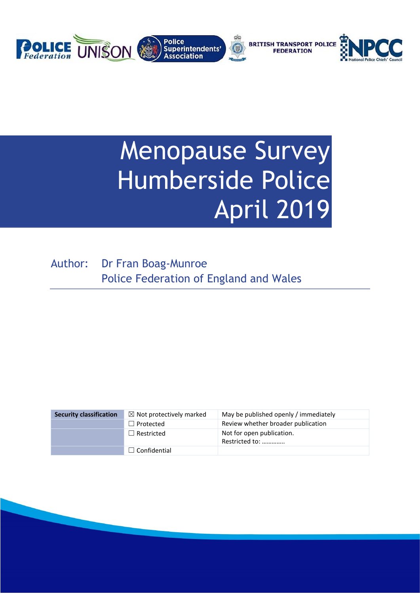

# Menopause Survey Humberside Police April 2019

Author: Dr Fran Boag-Munroe Police Federation of England and Wales

| <b>Security classification</b> | $\boxtimes$ Not protectively marked | May be published openly / immediately       |
|--------------------------------|-------------------------------------|---------------------------------------------|
|                                | $\Box$ Protected                    | Review whether broader publication          |
|                                | $\Box$ Restricted                   | Not for open publication.<br>Restricted to: |
|                                | $\Box$ Confidential                 |                                             |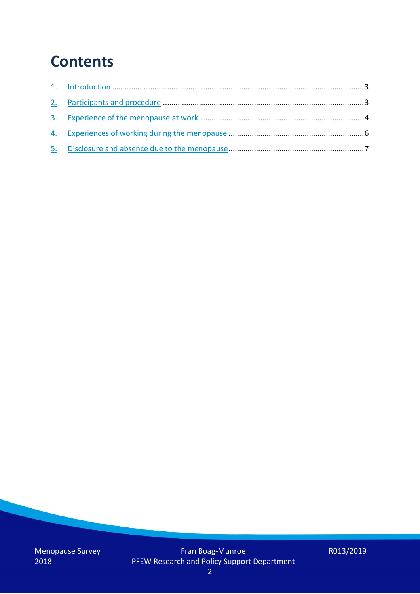## **Contents**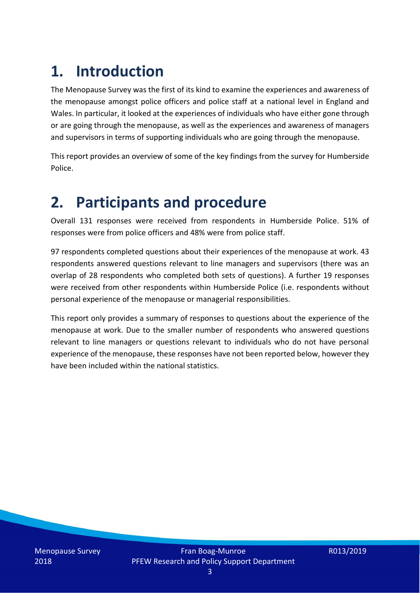# **1. Introduction**

The Menopause Survey was the first of its kind to examine the experiences and awareness of the menopause amongst police officers and police staff at a national level in England and Wales. In particular, it looked at the experiences of individuals who have either gone through or are going through the menopause, as well as the experiences and awareness of managers and supervisors in terms of supporting individuals who are going through the menopause.

This report provides an overview of some of the key findings from the survey for Humberside Police.

### **2. Participants and procedure**

Overall 131 responses were received from respondents in Humberside Police. 51% of responses were from police officers and 48% were from police staff.

97 respondents completed questions about their experiences of the menopause at work. 43 respondents answered questions relevant to line managers and supervisors (there was an overlap of 28 respondents who completed both sets of questions). A further 19 responses were received from other respondents within Humberside Police (i.e. respondents without personal experience of the menopause or managerial responsibilities.

This report only provides a summary of responses to questions about the experience of the menopause at work. Due to the smaller number of respondents who answered questions relevant to line managers or questions relevant to individuals who do not have personal experience of the menopause, these responses have not been reported below, however they have been included within the national statistics.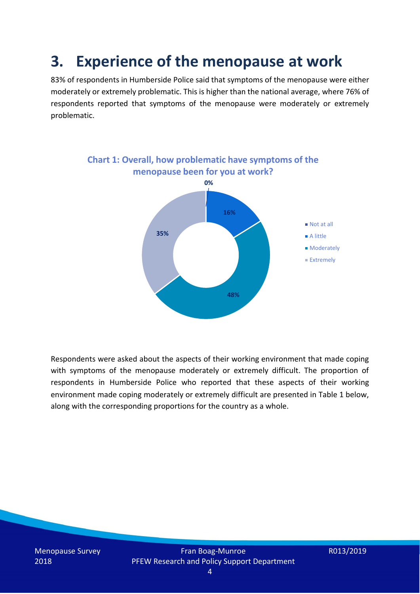### **3. Experience of the menopause at work**

83% of respondents in Humberside Police said that symptoms of the menopause were either moderately or extremely problematic. This is higher than the national average, where 76% of respondents reported that symptoms of the menopause were moderately or extremely problematic.



Respondents were asked about the aspects of their working environment that made coping with symptoms of the menopause moderately or extremely difficult. The proportion of respondents in Humberside Police who reported that these aspects of their working environment made coping moderately or extremely difficult are presented in Table 1 below, along with the corresponding proportions for the country as a whole.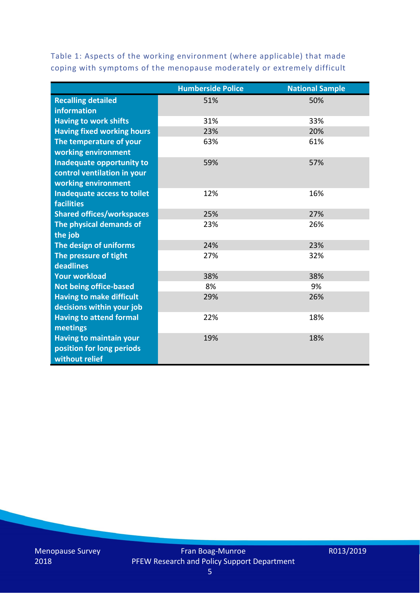Table 1: Aspects of the working environment (where applicable) that made coping with symptoms of the menopause moderately or extremely difficult

|                                   | <b>Humberside Police</b> | <b>National Sample</b> |
|-----------------------------------|--------------------------|------------------------|
| <b>Recalling detailed</b>         | 51%                      | 50%                    |
| information                       |                          |                        |
| <b>Having to work shifts</b>      | 31%                      | 33%                    |
| <b>Having fixed working hours</b> | 23%                      | 20%                    |
| The temperature of your           | 63%                      | 61%                    |
| working environment               |                          |                        |
| Inadequate opportunity to         | 59%                      | 57%                    |
| control ventilation in your       |                          |                        |
| working environment               |                          |                        |
| Inadequate access to toilet       | 12%                      | 16%                    |
| <b>facilities</b>                 |                          |                        |
| <b>Shared offices/workspaces</b>  | 25%                      | 27%                    |
| The physical demands of           | 23%                      | 26%                    |
| the job                           |                          |                        |
| The design of uniforms            | 24%                      | 23%                    |
| The pressure of tight             | 27%                      | 32%                    |
| deadlines                         |                          |                        |
| <b>Your workload</b>              | 38%                      | 38%                    |
| <b>Not being office-based</b>     | 8%                       | 9%                     |
| <b>Having to make difficult</b>   | 29%                      | 26%                    |
| decisions within your job         |                          |                        |
| <b>Having to attend formal</b>    | 22%                      | 18%                    |
| meetings                          |                          |                        |
| <b>Having to maintain your</b>    | 19%                      | 18%                    |
| position for long periods         |                          |                        |
| without relief                    |                          |                        |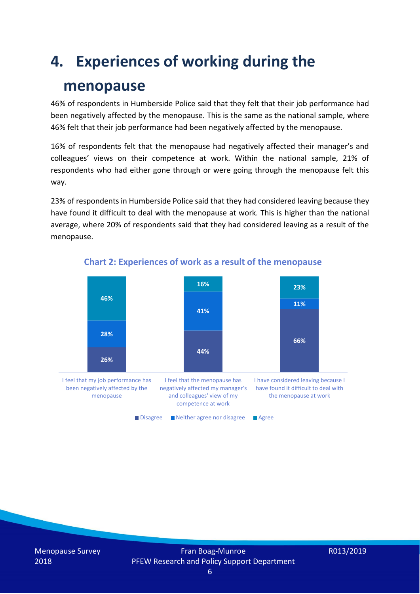## **4. Experiences of working during the**

### **menopause**

46% of respondents in Humberside Police said that they felt that their job performance had been negatively affected by the menopause. This is the same as the national sample, where 46% felt that their job performance had been negatively affected by the menopause.

16% of respondents felt that the menopause had negatively affected their manager's and colleagues' views on their competence at work. Within the national sample, 21% of respondents who had either gone through or were going through the menopause felt this way.

23% of respondents in Humberside Police said that they had considered leaving because they have found it difficult to deal with the menopause at work. This is higher than the national average, where 20% of respondents said that they had considered leaving as a result of the menopause.



#### **Chart 2: Experiences of work as a result of the menopause**